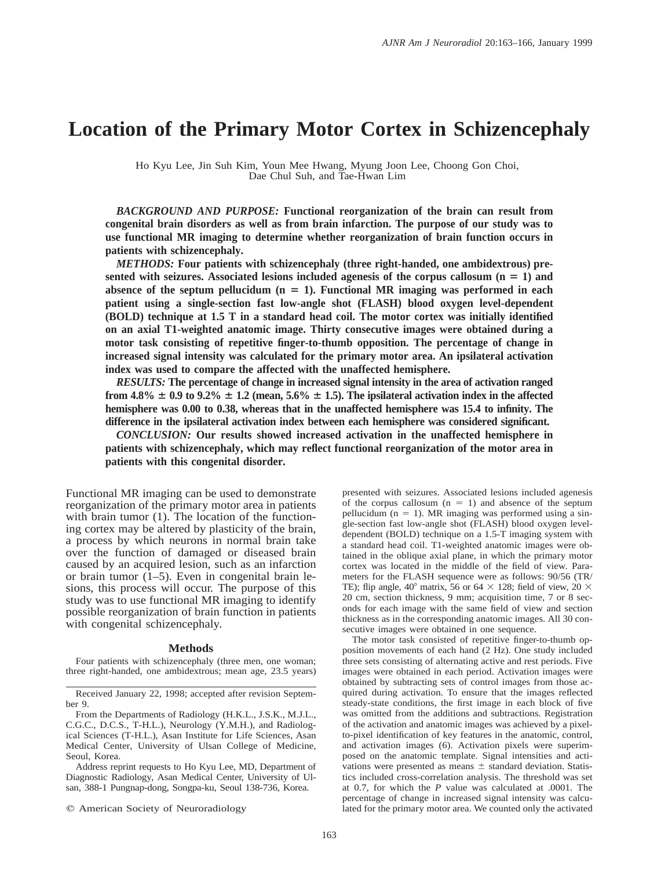# **Location of the Primary Motor Cortex in Schizencephaly**

Ho Kyu Lee, Jin Suh Kim, Youn Mee Hwang, Myung Joon Lee, Choong Gon Choi, Dae Chul Suh, and Tae-Hwan Lim

*BACKGROUND AND PURPOSE:* **Functional reorganization of the brain can result from congenital brain disorders as well as from brain infarction. The purpose of our study was to use functional MR imaging to determine whether reorganization of brain function occurs in patients with schizencephaly.**

*METHODS:* **Four patients with schizencephaly (three right-handed, one ambidextrous) pre**sented with seizures. Associated lesions included agenesis of the corpus callosum  $(n = 1)$  and absence of the septum pellucidum  $(n = 1)$ . Functional MR imaging was performed in each **patient using a single-section fast low-angle shot (FLASH) blood oxygen level-dependent (BOLD) technique at 1.5 T in a standard head coil. The motor cortex was initially identified on an axial T1-weighted anatomic image. Thirty consecutive images were obtained during a motor task consisting of repetitive finger-to-thumb opposition. The percentage of change in increased signal intensity was calculated for the primary motor area. An ipsilateral activation index was used to compare the affected with the unaffected hemisphere.**

*RESULTS:* **The percentage of change in increased signal intensity in the area of activation ranged from 4.8%**  $\pm$  0.9 to 9.2%  $\pm$  1.2 (mean, 5.6%  $\pm$  1.5). The ipsilateral activation index in the affected **hemisphere was 0.00 to 0.38, whereas that in the unaffected hemisphere was 15.4 to infinity. The difference in the ipsilateral activation index between each hemisphere was considered significant.**

*CONCLUSION:* **Our results showed increased activation in the unaffected hemisphere in patients with schizencephaly, which may reflect functional reorganization of the motor area in patients with this congenital disorder.**

Functional MR imaging can be used to demonstrate reorganization of the primary motor area in patients with brain tumor (1). The location of the functioning cortex may be altered by plasticity of the brain, a process by which neurons in normal brain take over the function of damaged or diseased brain caused by an acquired lesion, such as an infarction or brain tumor (1–5). Even in congenital brain lesions, this process will occur. The purpose of this study was to use functional MR imaging to identify possible reorganization of brain function in patients with congenital schizencephaly.

#### **Methods**

Four patients with schizencephaly (three men, one woman; three right-handed, one ambidextrous; mean age, 23.5 years)

Address reprint requests to Ho Kyu Lee, MD, Department of Diagnostic Radiology, Asan Medical Center, University of Ulsan, 388-1 Pungnap-dong, Songpa-ku, Seoul 138-736, Korea.

 $©$  American Society of Neuroradiology

presented with seizures. Associated lesions included agenesis of the corpus callosum  $(n = 1)$  and absence of the septum pellucidum ( $n = 1$ ). MR imaging was performed using a single-section fast low-angle shot (FLASH) blood oxygen leveldependent (BOLD) technique on a 1.5-T imaging system with a standard head coil. T1-weighted anatomic images were obtained in the oblique axial plane, in which the primary motor cortex was located in the middle of the field of view. Parameters for the FLASH sequence were as follows: 90/56 (TR/ TE); flip angle, 40° matrix, 56 or 64  $\times$  128; field of view, 20  $\times$ 20 cm, section thickness, 9 mm; acquisition time, 7 or 8 seconds for each image with the same field of view and section thickness as in the corresponding anatomic images. All 30 consecutive images were obtained in one sequence.

The motor task consisted of repetitive finger-to-thumb opposition movements of each hand (2 Hz). One study included three sets consisting of alternating active and rest periods. Five images were obtained in each period. Activation images were obtained by subtracting sets of control images from those acquired during activation. To ensure that the images reflected steady-state conditions, the first image in each block of five was omitted from the additions and subtractions. Registration of the activation and anatomic images was achieved by a pixelto-pixel identification of key features in the anatomic, control, and activation images (6). Activation pixels were superimposed on the anatomic template. Signal intensities and activations were presented as means  $\pm$  standard deviation. Statistics included cross-correlation analysis. The threshold was set at 0.7, for which the *P* value was calculated at .0001. The percentage of change in increased signal intensity was calculated for the primary motor area. We counted only the activated

Received January 22, 1998; accepted after revision September 9.

From the Departments of Radiology (H.K.L., J.S.K., M.J.L., C.G.C., D.C.S., T-H.L.), Neurology (Y.M.H.), and Radiological Sciences (T-H.L.), Asan Institute for Life Sciences, Asan Medical Center, University of Ulsan College of Medicine, Seoul, Korea.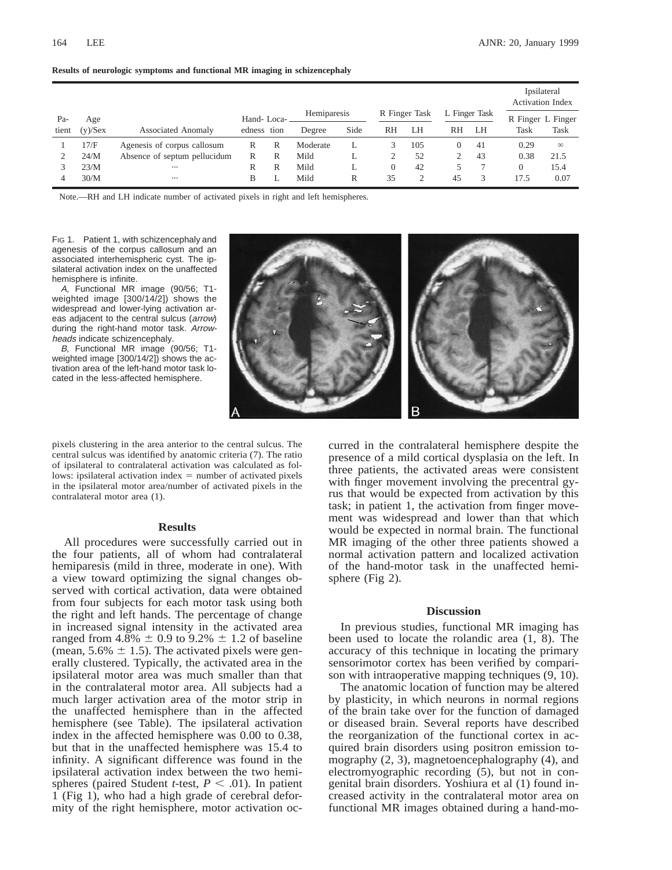|       |            |                              |             |   |             |      |               |     |               |    |                   | Ipsilateral<br><b>Activation Index</b> |  |
|-------|------------|------------------------------|-------------|---|-------------|------|---------------|-----|---------------|----|-------------------|----------------------------------------|--|
| Pa-   | Age        |                              | Hand-Loca-  |   | Hemiparesis |      | R Finger Task |     | L Finger Task |    | R Finger L Finger |                                        |  |
| tient | $(y)/$ Sex | <b>Associated Anomaly</b>    | edness tion |   | Degree      | Side | RH            | LH  | RH            | LH | <b>Task</b>       | Task                                   |  |
|       | 17/F       | Agenesis of corpus callosum  | R           | R | Moderate    |      |               | 105 |               | 41 | 0.29              | $\infty$                               |  |
|       | 24/M       | Absence of septum pellucidum | R           | R | Mild        | ⊥    |               | 52  |               | 43 | 0.38              | 21.5                                   |  |
|       | 23/M       | $\cdots$                     | R           | R | Mild        |      | $\Omega$      | 42  |               |    |                   | 15.4                                   |  |
| 4     | 30/M       | $\cdots$                     | В           |   | Mild        | R    | 35            |     | 45            |    | 17.5              | 0.07                                   |  |

**Results of neurologic symptoms and functional MR imaging in schizencephaly**

Note.—RH and LH indicate number of activated pixels in right and left hemispheres.

FIG 1. Patient 1, with schizencephaly and agenesis of the corpus callosum and an associated interhemispheric cyst. The ipsilateral activation index on the unaffected hemisphere is infinite.

A, Functional MR image (90/56; T1 weighted image [300/14/2]) shows the widespread and lower-lying activation areas adjacent to the central sulcus (arrow) during the right-hand motor task. Arrowheads indicate schizencephaly.

B, Functional MR image (90/56; T1 weighted image [300/14/2]) shows the activation area of the left-hand motor task located in the less-affected hemisphere.



pixels clustering in the area anterior to the central sulcus. The central sulcus was identified by anatomic criteria (7). The ratio of ipsilateral to contralateral activation was calculated as follows: ipsilateral activation index  $=$  number of activated pixels in the ipsilateral motor area/number of activated pixels in the contralateral motor area (1).

### **Results**

All procedures were successfully carried out in the four patients, all of whom had contralateral hemiparesis (mild in three, moderate in one). With a view toward optimizing the signal changes observed with cortical activation, data were obtained from four subjects for each motor task using both the right and left hands. The percentage of change in increased signal intensity in the activated area ranged from 4.8%  $\pm$  0.9 to 9.2%  $\pm$  1.2 of baseline (mean,  $5.6\% \pm 1.5$ ). The activated pixels were generally clustered. Typically, the activated area in the ipsilateral motor area was much smaller than that in the contralateral motor area. All subjects had a much larger activation area of the motor strip in the unaffected hemisphere than in the affected hemisphere (see Table). The ipsilateral activation index in the affected hemisphere was 0.00 to 0.38, but that in the unaffected hemisphere was 15.4 to infinity. A significant difference was found in the ipsilateral activation index between the two hemispheres (paired Student *t*-test,  $P < .01$ ). In patient 1 (Fig 1), who had a high grade of cerebral deformity of the right hemisphere, motor activation occurred in the contralateral hemisphere despite the presence of a mild cortical dysplasia on the left. In three patients, the activated areas were consistent with finger movement involving the precentral gyrus that would be expected from activation by this task; in patient 1, the activation from finger movement was widespread and lower than that which would be expected in normal brain. The functional MR imaging of the other three patients showed a normal activation pattern and localized activation of the hand-motor task in the unaffected hemisphere (Fig 2).

#### **Discussion**

In previous studies, functional MR imaging has been used to locate the rolandic area (1, 8). The accuracy of this technique in locating the primary sensorimotor cortex has been verified by comparison with intraoperative mapping techniques (9, 10).

The anatomic location of function may be altered by plasticity, in which neurons in normal regions of the brain take over for the function of damaged or diseased brain. Several reports have described the reorganization of the functional cortex in acquired brain disorders using positron emission tomography (2, 3), magnetoencephalography (4), and electromyographic recording (5), but not in congenital brain disorders. Yoshiura et al (1) found increased activity in the contralateral motor area on functional MR images obtained during a hand-mo-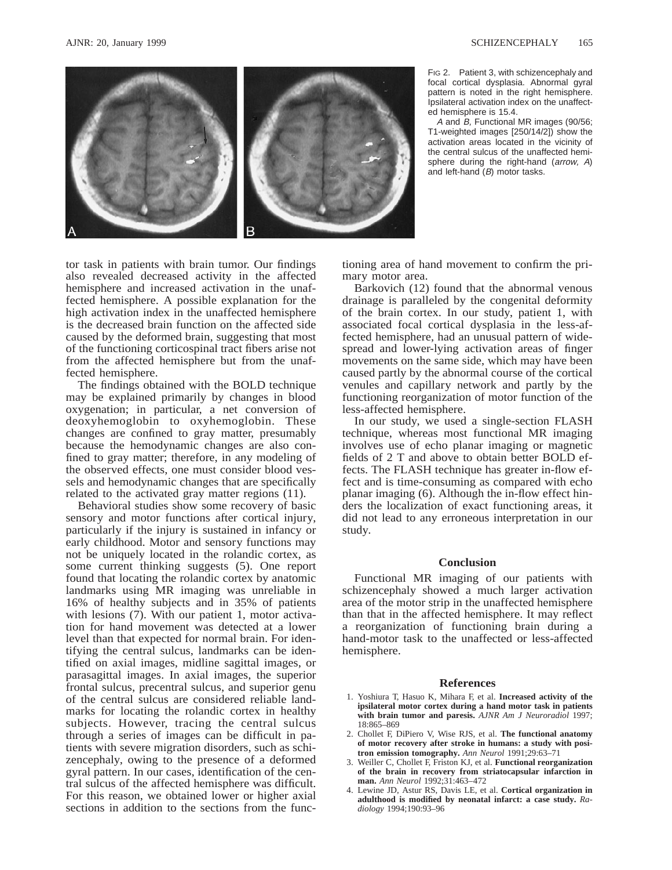

FIG 2. Patient 3, with schizencephaly and focal cortical dysplasia. Abnormal gyral pattern is noted in the right hemisphere. Ipsilateral activation index on the unaffected hemisphere is 15.4.

A and B, Functional MR images (90/56; T1-weighted images [250/14/2]) show the activation areas located in the vicinity of the central sulcus of the unaffected hemisphere during the right-hand (arrow, A) and left-hand (B) motor tasks.

tor task in patients with brain tumor. Our findings also revealed decreased activity in the affected hemisphere and increased activation in the unaffected hemisphere. A possible explanation for the high activation index in the unaffected hemisphere is the decreased brain function on the affected side caused by the deformed brain, suggesting that most of the functioning corticospinal tract fibers arise not from the affected hemisphere but from the unaffected hemisphere.

The findings obtained with the BOLD technique may be explained primarily by changes in blood oxygenation; in particular, a net conversion of deoxyhemoglobin to oxyhemoglobin. These changes are confined to gray matter, presumably because the hemodynamic changes are also confined to gray matter; therefore, in any modeling of the observed effects, one must consider blood vessels and hemodynamic changes that are specifically related to the activated gray matter regions (11).

Behavioral studies show some recovery of basic sensory and motor functions after cortical injury, particularly if the injury is sustained in infancy or early childhood. Motor and sensory functions may not be uniquely located in the rolandic cortex, as some current thinking suggests (5). One report found that locating the rolandic cortex by anatomic landmarks using MR imaging was unreliable in 16% of healthy subjects and in 35% of patients with lesions (7). With our patient 1, motor activation for hand movement was detected at a lower level than that expected for normal brain. For identifying the central sulcus, landmarks can be identified on axial images, midline sagittal images, or parasagittal images. In axial images, the superior frontal sulcus, precentral sulcus, and superior genu of the central sulcus are considered reliable landmarks for locating the rolandic cortex in healthy subjects. However, tracing the central sulcus through a series of images can be difficult in patients with severe migration disorders, such as schizencephaly, owing to the presence of a deformed gyral pattern. In our cases, identification of the central sulcus of the affected hemisphere was difficult. For this reason, we obtained lower or higher axial sections in addition to the sections from the functioning area of hand movement to confirm the primary motor area.

Barkovich (12) found that the abnormal venous drainage is paralleled by the congenital deformity of the brain cortex. In our study, patient 1, with associated focal cortical dysplasia in the less-affected hemisphere, had an unusual pattern of widespread and lower-lying activation areas of finger movements on the same side, which may have been caused partly by the abnormal course of the cortical venules and capillary network and partly by the functioning reorganization of motor function of the less-affected hemisphere.

In our study, we used a single-section FLASH technique, whereas most functional MR imaging involves use of echo planar imaging or magnetic fields of 2 T and above to obtain better BOLD effects. The FLASH technique has greater in-flow effect and is time-consuming as compared with echo planar imaging (6). Although the in-flow effect hinders the localization of exact functioning areas, it did not lead to any erroneous interpretation in our study.

## **Conclusion**

Functional MR imaging of our patients with schizencephaly showed a much larger activation area of the motor strip in the unaffected hemisphere than that in the affected hemisphere. It may reflect a reorganization of functioning brain during a hand-motor task to the unaffected or less-affected hemisphere.

#### **References**

- 1. Yoshiura T, Hasuo K, Mihara F, et al. **Increased activity of the ipsilateral motor cortex during a hand motor task in patients with brain tumor and paresis.** *AJNR Am J Neuroradiol* 1997; 18:865–869
- 2. Chollet F, DiPiero V, Wise RJS, et al. **The functional anatomy of motor recovery after stroke in humans: a study with positron emission tomography.** *Ann Neurol* 1991;29:63–71
- 3. Weiller C, Chollet F, Friston KJ, et al. **Functional reorganization of the brain in recovery from striatocapsular infarction in man.** *Ann Neurol* 1992;31:463–472
- 4. Lewine JD, Astur RS, Davis LE, et al. **Cortical organization in adulthood is modified by neonatal infarct: a case study.** *Radiology* 1994;190:93–96